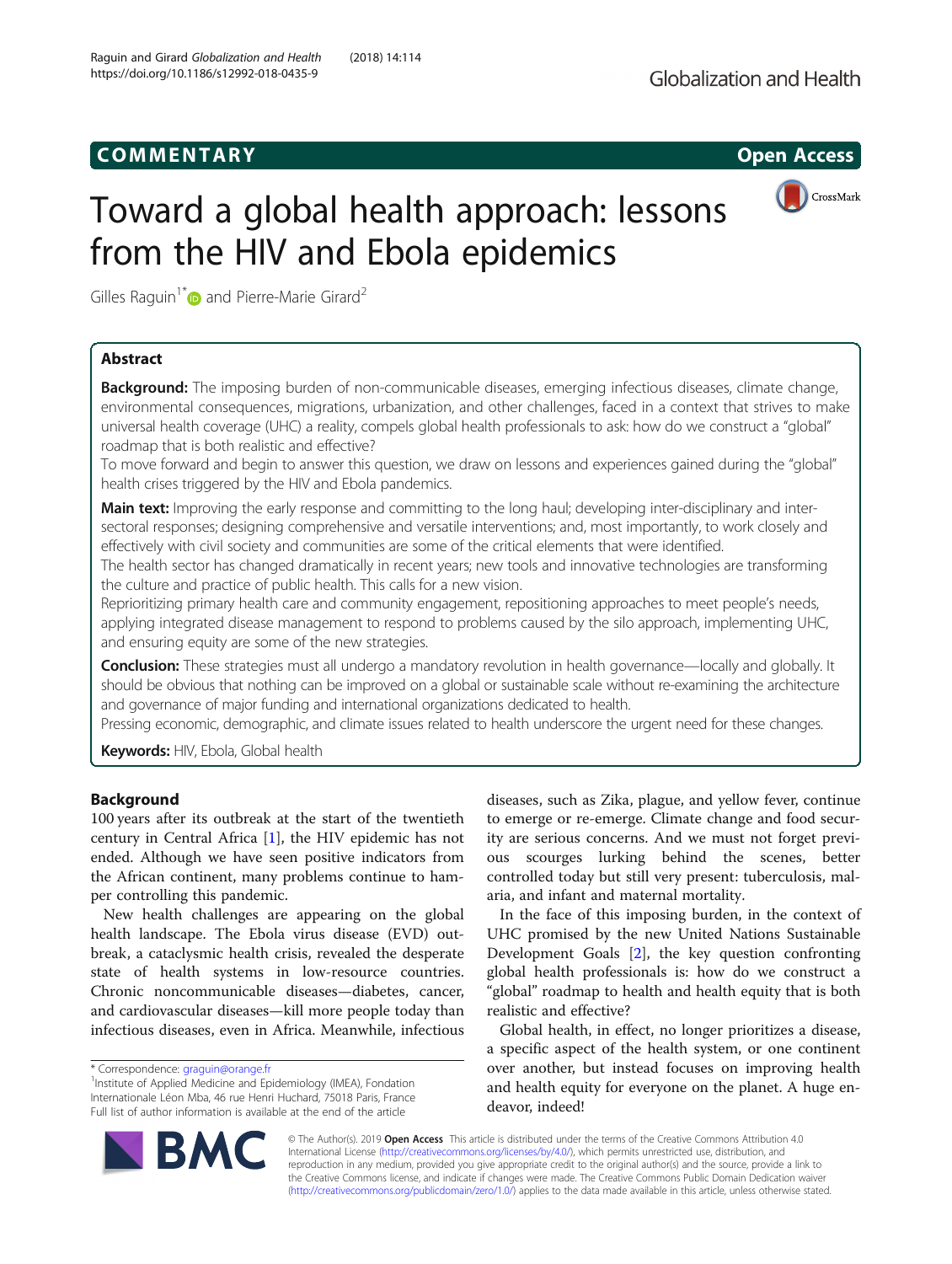# COMM EN TARY Open Access



# Toward a global health approach: lessons from the HIV and Ebola epidemics

Gilles Raquin<sup>1[\\*](http://orcid.org/0000-0002-8040-8502)</sup> and Pierre-Marie Girard<sup>2</sup>

# Abstract

Background: The imposing burden of non-communicable diseases, emerging infectious diseases, climate change, environmental consequences, migrations, urbanization, and other challenges, faced in a context that strives to make universal health coverage (UHC) a reality, compels global health professionals to ask: how do we construct a "global" roadmap that is both realistic and effective?

To move forward and begin to answer this question, we draw on lessons and experiences gained during the "global" health crises triggered by the HIV and Ebola pandemics.

Main text: Improving the early response and committing to the long haul; developing inter-disciplinary and intersectoral responses; designing comprehensive and versatile interventions; and, most importantly, to work closely and effectively with civil society and communities are some of the critical elements that were identified.

The health sector has changed dramatically in recent years; new tools and innovative technologies are transforming the culture and practice of public health. This calls for a new vision.

Reprioritizing primary health care and community engagement, repositioning approaches to meet people's needs, applying integrated disease management to respond to problems caused by the silo approach, implementing UHC, and ensuring equity are some of the new strategies.

Conclusion: These strategies must all undergo a mandatory revolution in health governance—locally and globally. It should be obvious that nothing can be improved on a global or sustainable scale without re-examining the architecture and governance of major funding and international organizations dedicated to health.

Pressing economic, demographic, and climate issues related to health underscore the urgent need for these changes.

Keywords: HIV, Ebola, Global health

# Background

100 years after its outbreak at the start of the twentieth century in Central Africa [[1\]](#page-2-0), the HIV epidemic has not ended. Although we have seen positive indicators from the African continent, many problems continue to hamper controlling this pandemic.

New health challenges are appearing on the global health landscape. The Ebola virus disease (EVD) outbreak, a cataclysmic health crisis, revealed the desperate state of health systems in low-resource countries. Chronic noncommunicable diseases—diabetes, cancer, and cardiovascular diseases—kill more people today than infectious diseases, even in Africa. Meanwhile, infectious

diseases, such as Zika, plague, and yellow fever, continue to emerge or re-emerge. Climate change and food security are serious concerns. And we must not forget previous scourges lurking behind the scenes, better controlled today but still very present: tuberculosis, malaria, and infant and maternal mortality.

In the face of this imposing burden, in the context of UHC promised by the new United Nations Sustainable Development Goals [[2\]](#page-3-0), the key question confronting global health professionals is: how do we construct a "global" roadmap to health and health equity that is both realistic and effective?

Global health, in effect, no longer prioritizes a disease, a specific aspect of the health system, or one continent over another, but instead focuses on improving health and health equity for everyone on the planet. A huge endeavor, indeed!

© The Author(s). 2019 Open Access This article is distributed under the terms of the Creative Commons Attribution 4.0 International License [\(http://creativecommons.org/licenses/by/4.0/](http://creativecommons.org/licenses/by/4.0/)), which permits unrestricted use, distribution, and reproduction in any medium, provided you give appropriate credit to the original author(s) and the source, provide a link to the Creative Commons license, and indicate if changes were made. The Creative Commons Public Domain Dedication waiver [\(http://creativecommons.org/publicdomain/zero/1.0/](http://creativecommons.org/publicdomain/zero/1.0/)) applies to the data made available in this article, unless otherwise stated.



<sup>\*</sup> Correspondence: [graguin@orange.fr](mailto:graguin@orange.fr) <sup>1</sup>

<sup>&</sup>lt;sup>1</sup> Institute of Applied Medicine and Epidemiology (IMEA), Fondation Internationale Léon Mba, 46 rue Henri Huchard, 75018 Paris, France Full list of author information is available at the end of the article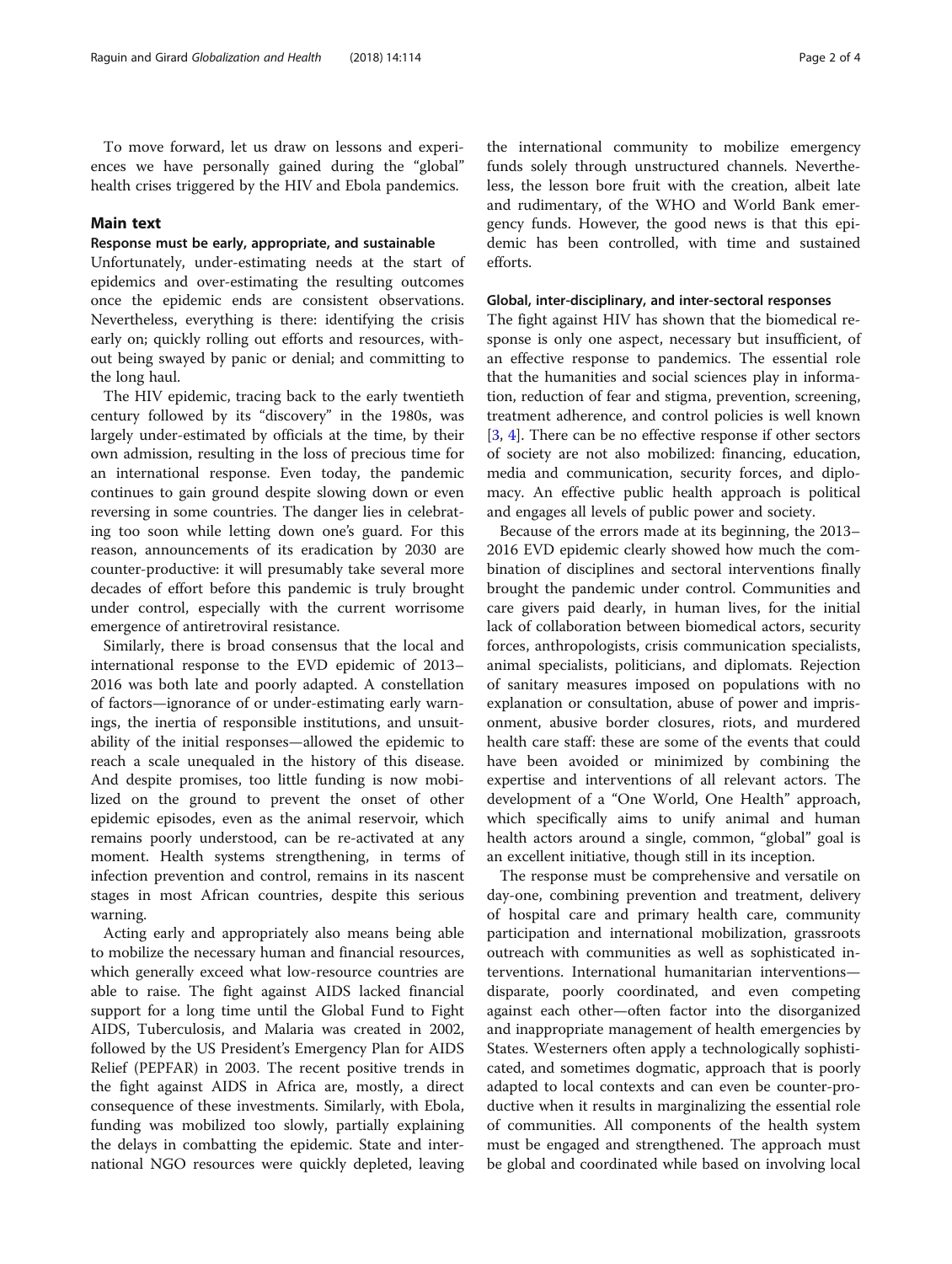# Main text

# Response must be early, appropriate, and sustainable

Unfortunately, under-estimating needs at the start of epidemics and over-estimating the resulting outcomes once the epidemic ends are consistent observations. Nevertheless, everything is there: identifying the crisis early on; quickly rolling out efforts and resources, without being swayed by panic or denial; and committing to the long haul.

The HIV epidemic, tracing back to the early twentieth century followed by its "discovery" in the 1980s, was largely under-estimated by officials at the time, by their own admission, resulting in the loss of precious time for an international response. Even today, the pandemic continues to gain ground despite slowing down or even reversing in some countries. The danger lies in celebrating too soon while letting down one's guard. For this reason, announcements of its eradication by 2030 are counter-productive: it will presumably take several more decades of effort before this pandemic is truly brought under control, especially with the current worrisome emergence of antiretroviral resistance.

Similarly, there is broad consensus that the local and international response to the EVD epidemic of 2013– 2016 was both late and poorly adapted. A constellation of factors—ignorance of or under-estimating early warnings, the inertia of responsible institutions, and unsuitability of the initial responses—allowed the epidemic to reach a scale unequaled in the history of this disease. And despite promises, too little funding is now mobilized on the ground to prevent the onset of other epidemic episodes, even as the animal reservoir, which remains poorly understood, can be re-activated at any moment. Health systems strengthening, in terms of infection prevention and control, remains in its nascent stages in most African countries, despite this serious warning.

Acting early and appropriately also means being able to mobilize the necessary human and financial resources, which generally exceed what low-resource countries are able to raise. The fight against AIDS lacked financial support for a long time until the Global Fund to Fight AIDS, Tuberculosis, and Malaria was created in 2002, followed by the US President's Emergency Plan for AIDS Relief (PEPFAR) in 2003. The recent positive trends in the fight against AIDS in Africa are, mostly, a direct consequence of these investments. Similarly, with Ebola, funding was mobilized too slowly, partially explaining the delays in combatting the epidemic. State and international NGO resources were quickly depleted, leaving

the international community to mobilize emergency funds solely through unstructured channels. Nevertheless, the lesson bore fruit with the creation, albeit late and rudimentary, of the WHO and World Bank emergency funds. However, the good news is that this epidemic has been controlled, with time and sustained efforts.

## Global, inter-disciplinary, and inter-sectoral responses

The fight against HIV has shown that the biomedical response is only one aspect, necessary but insufficient, of an effective response to pandemics. The essential role that the humanities and social sciences play in information, reduction of fear and stigma, prevention, screening, treatment adherence, and control policies is well known [[3,](#page-3-0) [4\]](#page-3-0). There can be no effective response if other sectors of society are not also mobilized: financing, education, media and communication, security forces, and diplomacy. An effective public health approach is political and engages all levels of public power and society.

Because of the errors made at its beginning, the 2013– 2016 EVD epidemic clearly showed how much the combination of disciplines and sectoral interventions finally brought the pandemic under control. Communities and care givers paid dearly, in human lives, for the initial lack of collaboration between biomedical actors, security forces, anthropologists, crisis communication specialists, animal specialists, politicians, and diplomats. Rejection of sanitary measures imposed on populations with no explanation or consultation, abuse of power and imprisonment, abusive border closures, riots, and murdered health care staff: these are some of the events that could have been avoided or minimized by combining the expertise and interventions of all relevant actors. The development of a "One World, One Health" approach, which specifically aims to unify animal and human health actors around a single, common, "global" goal is an excellent initiative, though still in its inception.

The response must be comprehensive and versatile on day-one, combining prevention and treatment, delivery of hospital care and primary health care, community participation and international mobilization, grassroots outreach with communities as well as sophisticated interventions. International humanitarian interventions disparate, poorly coordinated, and even competing against each other—often factor into the disorganized and inappropriate management of health emergencies by States. Westerners often apply a technologically sophisticated, and sometimes dogmatic, approach that is poorly adapted to local contexts and can even be counter-productive when it results in marginalizing the essential role of communities. All components of the health system must be engaged and strengthened. The approach must be global and coordinated while based on involving local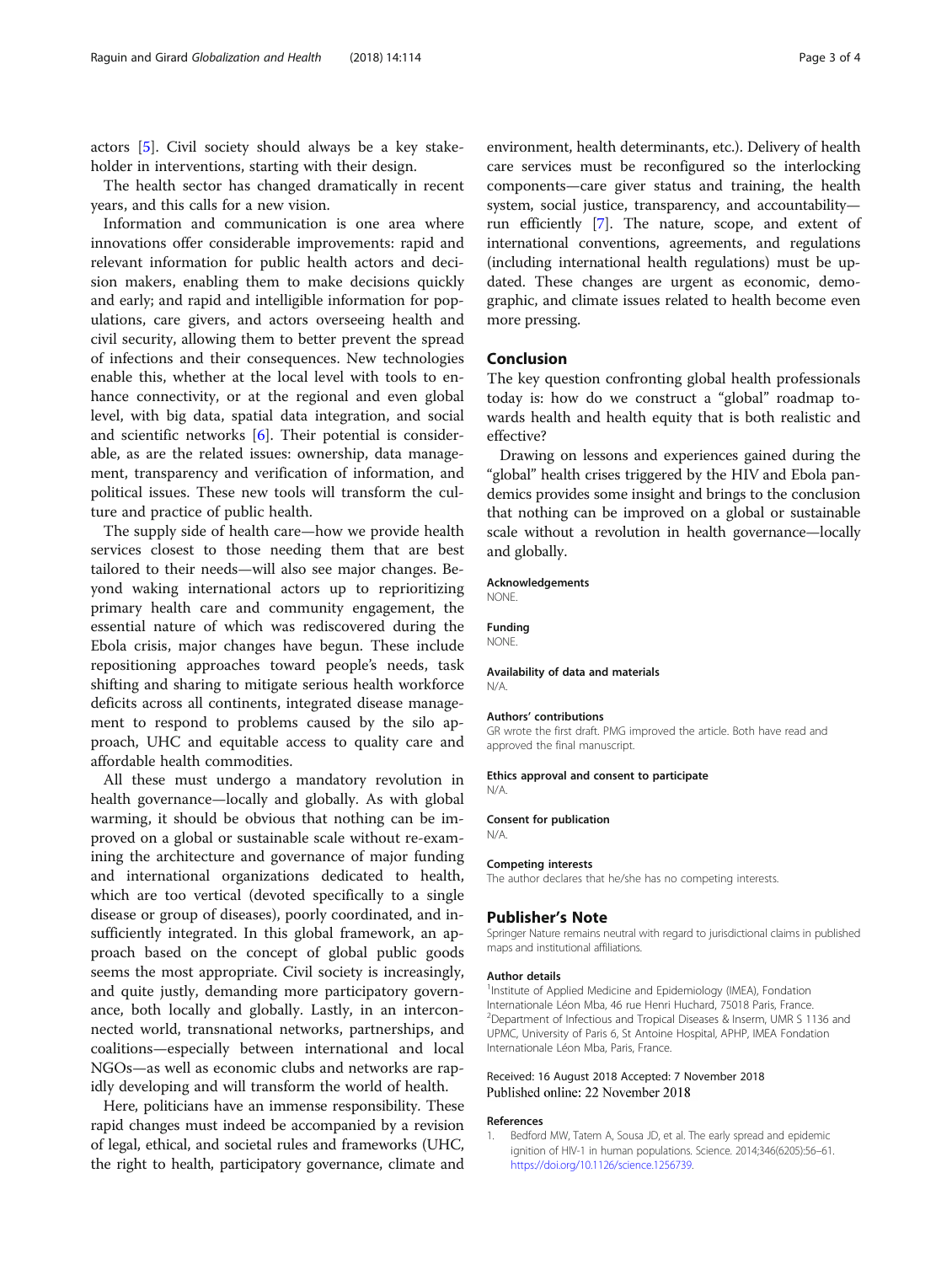<span id="page-2-0"></span>actors [\[5](#page-3-0)]. Civil society should always be a key stakeholder in interventions, starting with their design.

The health sector has changed dramatically in recent years, and this calls for a new vision.

Information and communication is one area where innovations offer considerable improvements: rapid and relevant information for public health actors and decision makers, enabling them to make decisions quickly and early; and rapid and intelligible information for populations, care givers, and actors overseeing health and civil security, allowing them to better prevent the spread of infections and their consequences. New technologies enable this, whether at the local level with tools to enhance connectivity, or at the regional and even global level, with big data, spatial data integration, and social and scientific networks [[6\]](#page-3-0). Their potential is considerable, as are the related issues: ownership, data management, transparency and verification of information, and political issues. These new tools will transform the culture and practice of public health.

The supply side of health care—how we provide health services closest to those needing them that are best tailored to their needs—will also see major changes. Beyond waking international actors up to reprioritizing primary health care and community engagement, the essential nature of which was rediscovered during the Ebola crisis, major changes have begun. These include repositioning approaches toward people's needs, task shifting and sharing to mitigate serious health workforce deficits across all continents, integrated disease management to respond to problems caused by the silo approach, UHC and equitable access to quality care and affordable health commodities.

All these must undergo a mandatory revolution in health governance—locally and globally. As with global warming, it should be obvious that nothing can be improved on a global or sustainable scale without re-examining the architecture and governance of major funding and international organizations dedicated to health, which are too vertical (devoted specifically to a single disease or group of diseases), poorly coordinated, and insufficiently integrated. In this global framework, an approach based on the concept of global public goods seems the most appropriate. Civil society is increasingly, and quite justly, demanding more participatory governance, both locally and globally. Lastly, in an interconnected world, transnational networks, partnerships, and coalitions—especially between international and local NGOs—as well as economic clubs and networks are rapidly developing and will transform the world of health.

Here, politicians have an immense responsibility. These rapid changes must indeed be accompanied by a revision of legal, ethical, and societal rules and frameworks (UHC, the right to health, participatory governance, climate and

environment, health determinants, etc.). Delivery of health care services must be reconfigured so the interlocking components—care giver status and training, the health system, social justice, transparency, and accountability run efficiently [[7](#page-3-0)]. The nature, scope, and extent of international conventions, agreements, and regulations (including international health regulations) must be updated. These changes are urgent as economic, demographic, and climate issues related to health become even more pressing.

# Conclusion

The key question confronting global health professionals today is: how do we construct a "global" roadmap towards health and health equity that is both realistic and effective?

Drawing on lessons and experiences gained during the "global" health crises triggered by the HIV and Ebola pandemics provides some insight and brings to the conclusion that nothing can be improved on a global or sustainable scale without a revolution in health governance—locally and globally.

#### Acknowledgements NONE.

Funding

**NONE** 

Availability of data and materials N/A.

#### Authors' contributions

GR wrote the first draft. PMG improved the article. Both have read and approved the final manuscript.

#### Ethics approval and consent to participate

N/A.

## Consent for publication

N/A.

#### Competing interests

The author declares that he/she has no competing interests.

#### Publisher's Note

Springer Nature remains neutral with regard to jurisdictional claims in published maps and institutional affiliations.

#### Author details

<sup>1</sup> Institute of Applied Medicine and Epidemiology (IMEA), Fondation Internationale Léon Mba, 46 rue Henri Huchard, 75018 Paris, France. <sup>2</sup> Department of Infectious and Tropical Diseases & Inserm, UMR S 1136 and UPMC, University of Paris 6, St Antoine Hospital, APHP, IMEA Fondation Internationale Léon Mba, Paris, France.

### Received: 16 August 2018 Accepted: 7 November 2018 Published online: 22 November 2018

#### References

Bedford MW, Tatem A, Sousa JD, et al. The early spread and epidemic ignition of HIV-1 in human populations. Science. 2014;346(6205):56–61. [https://doi.org/10.1126/science.1256739.](https://doi.org/10.1126/science.1256739)